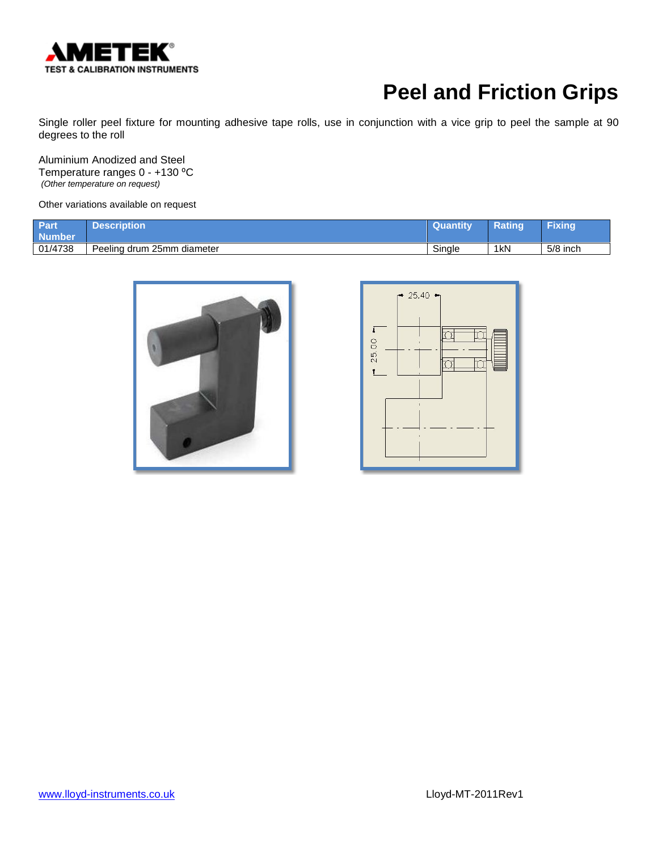

Single roller peel fixture for mounting adhesive tape rolls, use in conjunction with a vice grip to peel the sample at 90 degrees to the roll

Aluminium Anodized and Steel Temperature ranges 0 - +130 °C *(Other temperature on request)*

| Part<br><b>Number</b> | Description                | Quantity | <b>Rating</b>   | <b>Fixing</b> |
|-----------------------|----------------------------|----------|-----------------|---------------|
| 01/4738               | Peeling drum 25mm diameter | Sinale   | 1 <sub>kN</sub> | $5/8$ inch    |



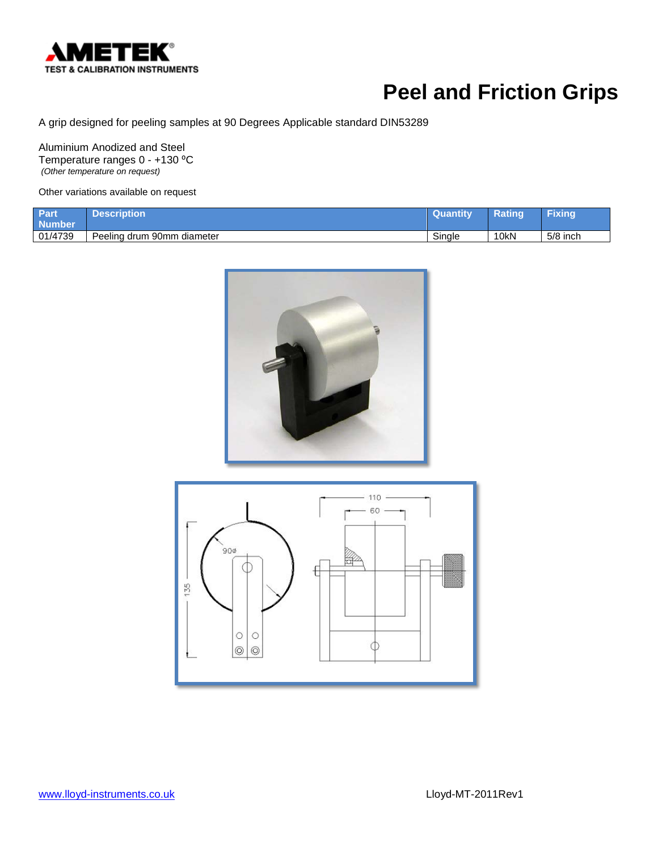

A grip designed for peeling samples at 90 Degrees Applicable standard DIN53289

Aluminium Anodized and Steel Temperature ranges 0 - +130 °C *(Other temperature on request)*

Other variations available on request

| Part<br><b>Number</b> | Description                | <b>Quantity</b> | <b>Ratinc</b> | Fixing   |
|-----------------------|----------------------------|-----------------|---------------|----------|
| 01/4739               | Peeling drum 90mm diameter | Single          | 10kN          | 5/8 inch |





[www.lloyd-instruments.co.uk](http://www.lloyd-instruments.co.uk/) Lloyd-MT-2011Rev1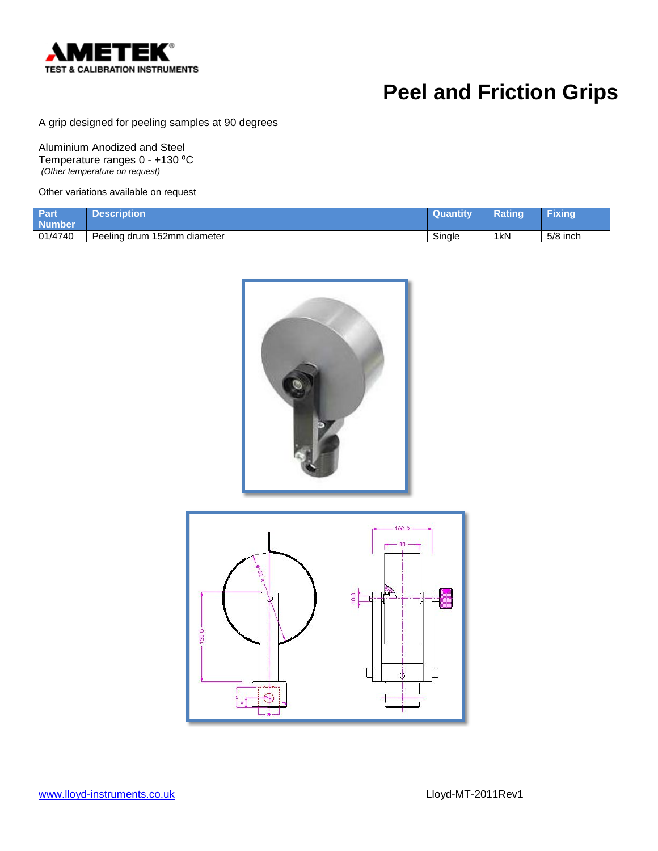

A grip designed for peeling samples at 90 degrees

Aluminium Anodized and Steel Temperature ranges 0 - +130 °C *(Other temperature on request)*

Other variations available on request

| Part<br>Number <sup>l</sup> | Description                         | <b>Quantity</b> | Rating          | Fixing     |
|-----------------------------|-------------------------------------|-----------------|-----------------|------------|
| 01/4740                     | 152mm<br>Peeling drum<br>ı diameter | Single          | 1 <sub>kN</sub> | $5/8$ inch |





[www.lloyd-instruments.co.uk](http://www.lloyd-instruments.co.uk/) Lloyd-MT-2011Rev1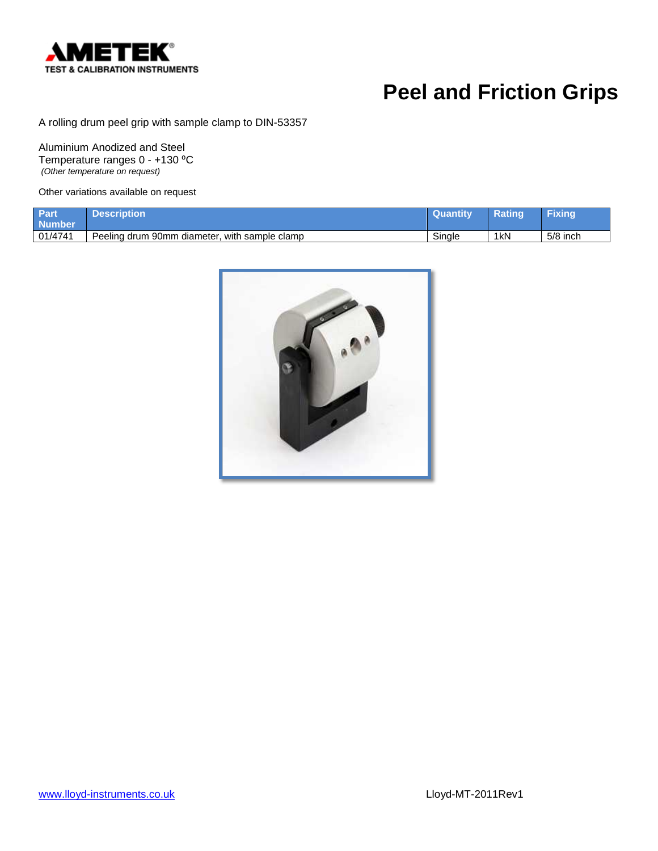

A rolling drum peel grip with sample clamp to DIN-53357

Aluminium Anodized and Steel Temperature ranges 0 - +130 °C *(Other temperature on request)*

| Part<br><b>Number</b> | <b>Description</b>                                 | <b>/Quantity</b> | Ratinc          | Fixing     |
|-----------------------|----------------------------------------------------|------------------|-----------------|------------|
| 01/4741               | , with sample clamp<br>Peeling drum 90mm diameter, | Single           | 1 <sub>kN</sub> | $5/8$ inch |

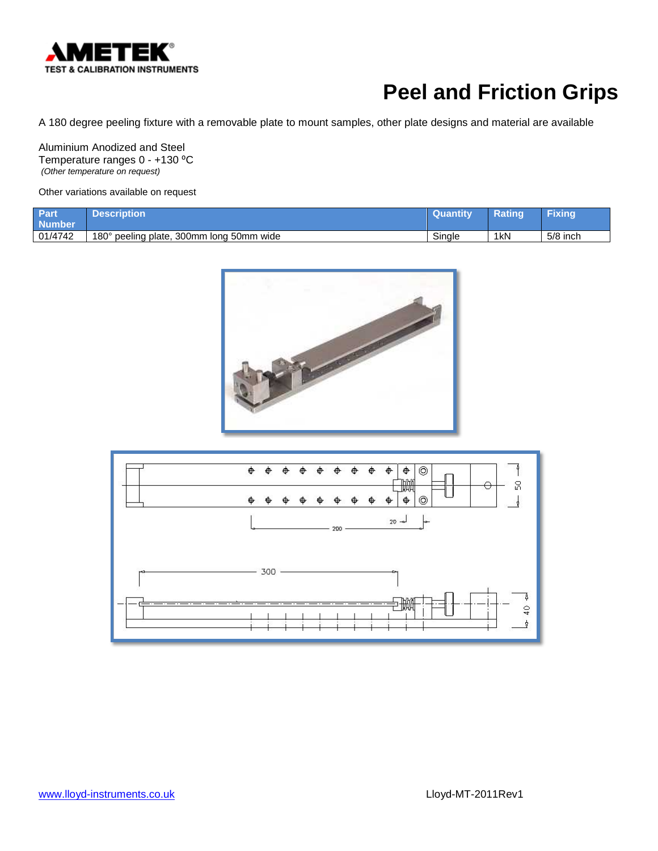

A 180 degree peeling fixture with a removable plate to mount samples, other plate designs and material are available

Aluminium Anodized and Steel Temperature ranges 0 - +130 °C *(Other temperature on request)*

| <b>Part</b><br><b>Number</b> | <b>Description</b>                       | <b>Quantity</b> | <b>Rating</b>   | Fixing     |
|------------------------------|------------------------------------------|-----------------|-----------------|------------|
| 01/4742                      | 180° peeling plate, 300mm long 50mm wide | Single          | 1 <sub>kN</sub> | $5/8$ inch |



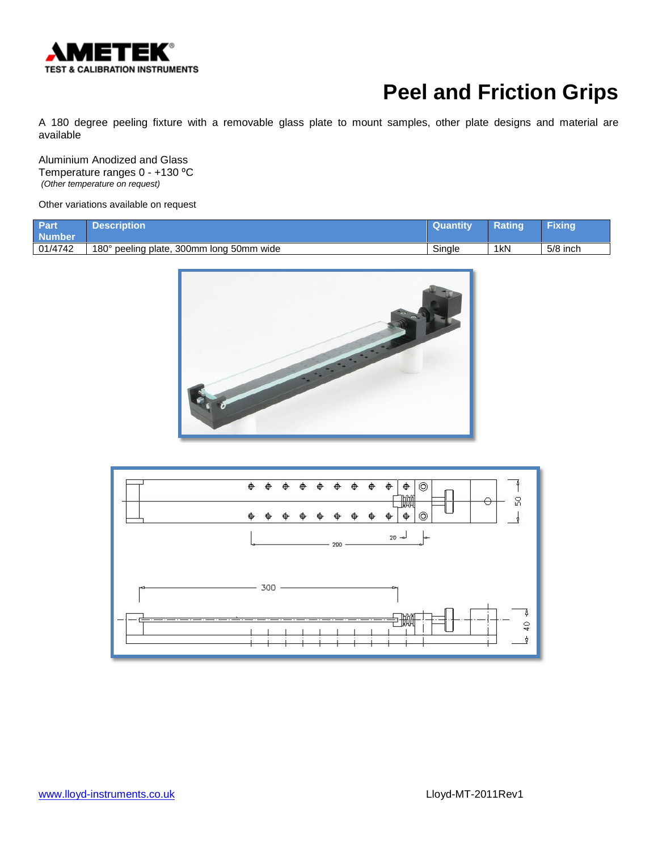

A 180 degree peeling fixture with a removable glass plate to mount samples, other plate designs and material are available

Aluminium Anodized and Glass Temperature ranges 0 - +130 °C *(Other temperature on request)*

| Part<br><b>Number</b> | Description'                             | Quantity | Rating           | <b>Fixing</b> |
|-----------------------|------------------------------------------|----------|------------------|---------------|
| 01/4742               | 180° peeling plate, 300mm long 50mm wide | Single   | 1 <sub>k</sub> N | $5/8$ inch    |



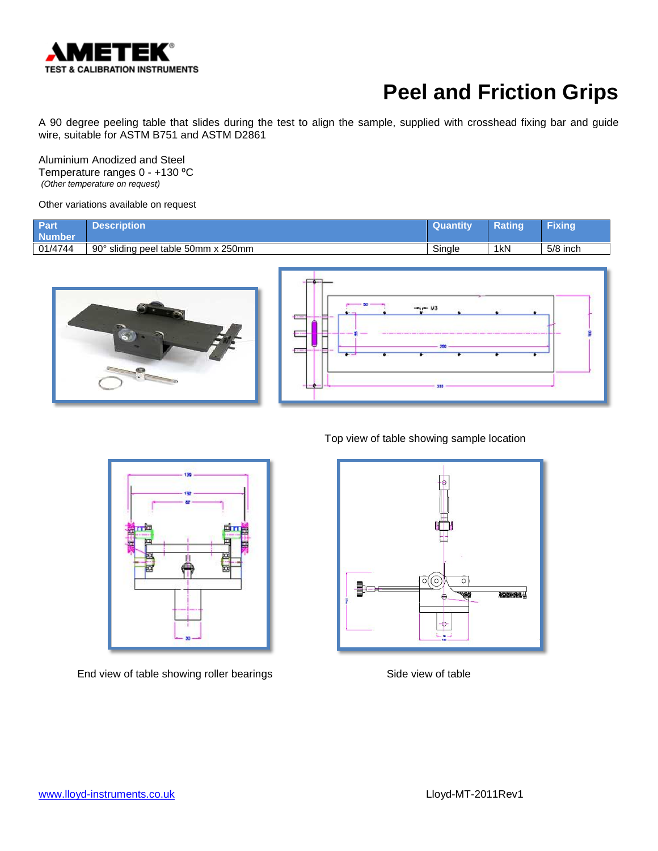

A 90 degree peeling table that slides during the test to align the sample, supplied with crosshead fixing bar and guide wire, suitable for ASTM B751 and ASTM D2861

Aluminium Anodized and Steel Temperature ranges 0 - +130 °C *(Other temperature on request)*

Other variations available on request

| Part<br><b>Number</b> | <b>Description</b>                  | <b>Quantity</b> | Ratinq          | Fixing     |
|-----------------------|-------------------------------------|-----------------|-----------------|------------|
| 01/4744               | 90° sliding peel table 50mm x 250mm | Single          | 1 <sub>kN</sub> | $5/8$ inch |







End view of table showing roller bearings Side view of table

Top view of table showing sample location

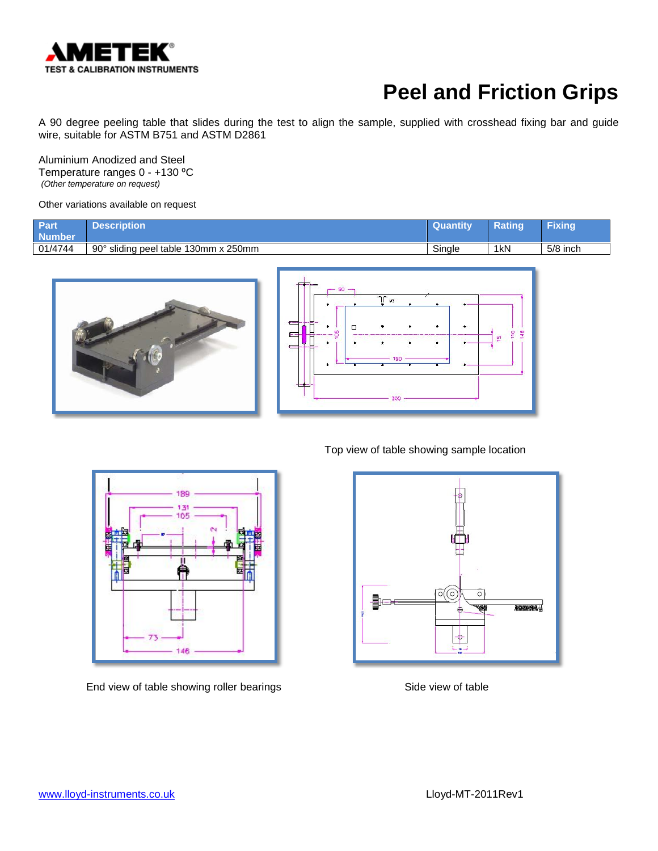

A 90 degree peeling table that slides during the test to align the sample, supplied with crosshead fixing bar and guide wire, suitable for ASTM B751 and ASTM D2861

Aluminium Anodized and Steel Temperature ranges 0 - +130 °C *(Other temperature on request)*

Other variations available on request

| Part<br><b>Number</b> | Description                                      | <b>Quantity</b> | <b>Ratino</b>   | Fixing   |
|-----------------------|--------------------------------------------------|-----------------|-----------------|----------|
| 01/4744               | $90^{\circ}$<br>sliding peel table 130mm x 250mm | Single          | 1 <sub>kN</sub> | 5/8 inch |





189 INF

End view of table showing roller bearings Side view of table

146

Top view of table showing sample location

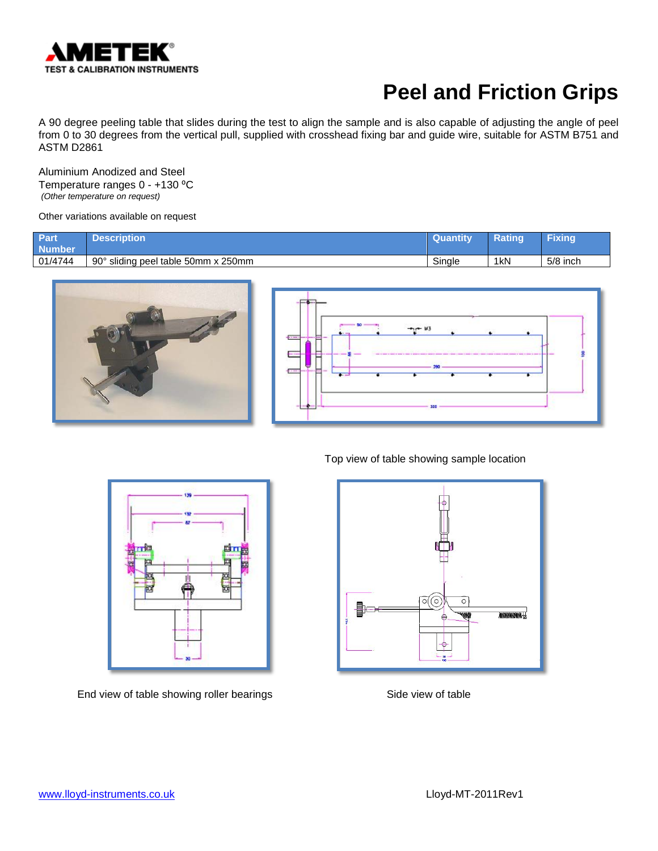

A 90 degree peeling table that slides during the test to align the sample and is also capable of adjusting the angle of peel from 0 to 30 degrees from the vertical pull, supplied with crosshead fixing bar and guide wire, suitable for ASTM B751 and ASTM D2861

Aluminium Anodized and Steel Temperature ranges 0 - +130 °C *(Other temperature on request)*

Other variations available on request

| Part<br><b>Number</b> | <b>Description</b>                              | <b>Quantity</b> | Rating          | Fixing   |
|-----------------------|-------------------------------------------------|-----------------|-----------------|----------|
| 01/4744               | $90^{\circ}$<br>sliding peel table 50mm x 250mm | Single          | 1 <sub>kN</sub> | 5/8 inch |







End view of table showing roller bearings Side view of table

Top view of table showing sample location

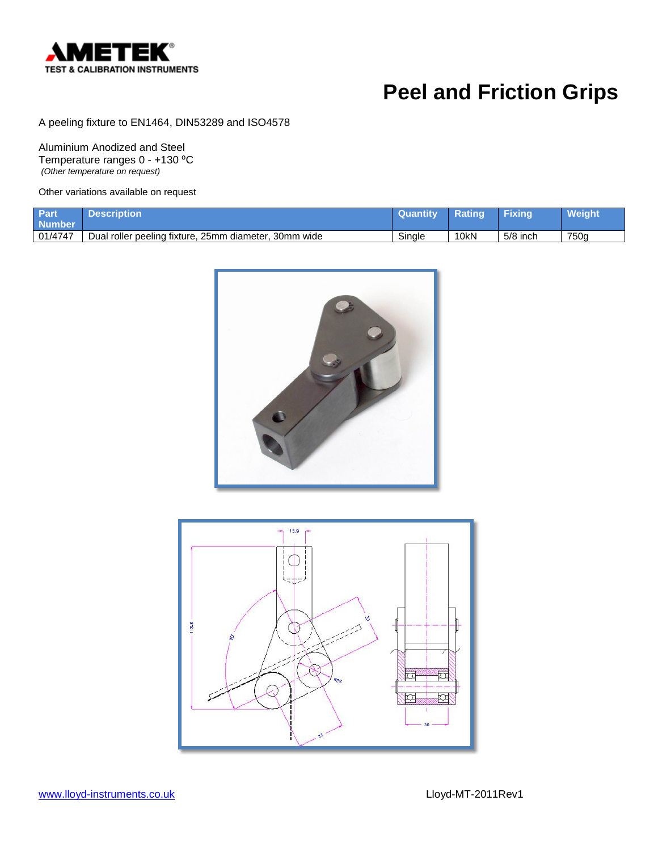

A peeling fixture to EN1464, DIN53289 and ISO4578

Aluminium Anodized and Steel Temperature ranges 0 - +130 °C *(Other temperature on request)*

| Part<br><b>Number</b> | <b>Description</b>                                    | <b>Quantity</b> | Rating | <b>Fixing</b> | <b>Weight</b> |
|-----------------------|-------------------------------------------------------|-----------------|--------|---------------|---------------|
| 01/4747               | Dual roller peeling fixture, 25mm diameter, 30mm wide | Single          | 10kN   | $5/8$ inch    | 750a          |



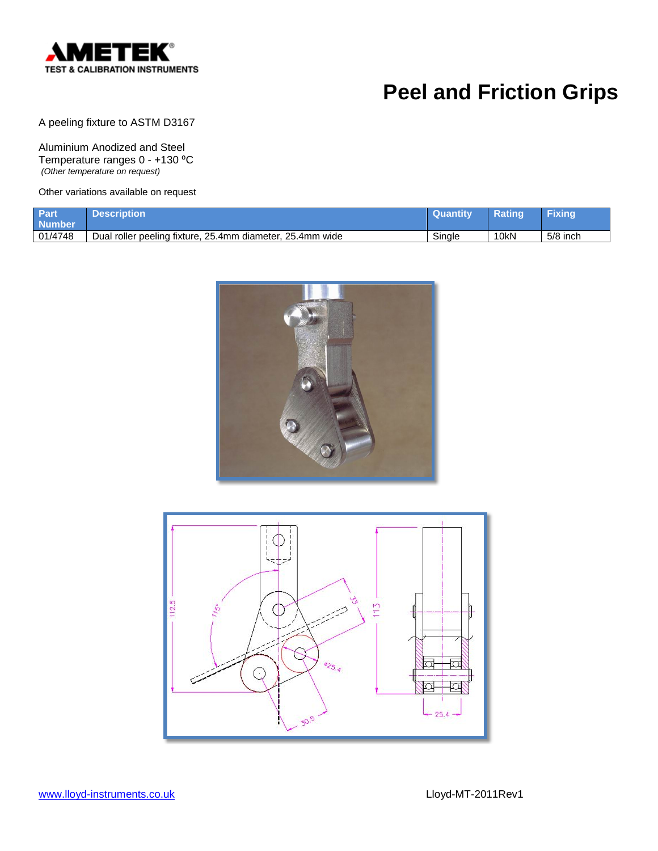

A peeling fixture to ASTM D3167

Aluminium Anodized and Steel Temperature ranges 0 - +130 °C *(Other temperature on request)*

| <b>Part</b><br><b>Number</b> | <b>Description</b> '                                      | / Quantitv | Rating | Fixing   |
|------------------------------|-----------------------------------------------------------|------------|--------|----------|
| 01/4748                      | Dual roller peeling fixture, 25.4mm diameter, 25.4mm wide | Sinale     | 10kN   | 5/8 inch |



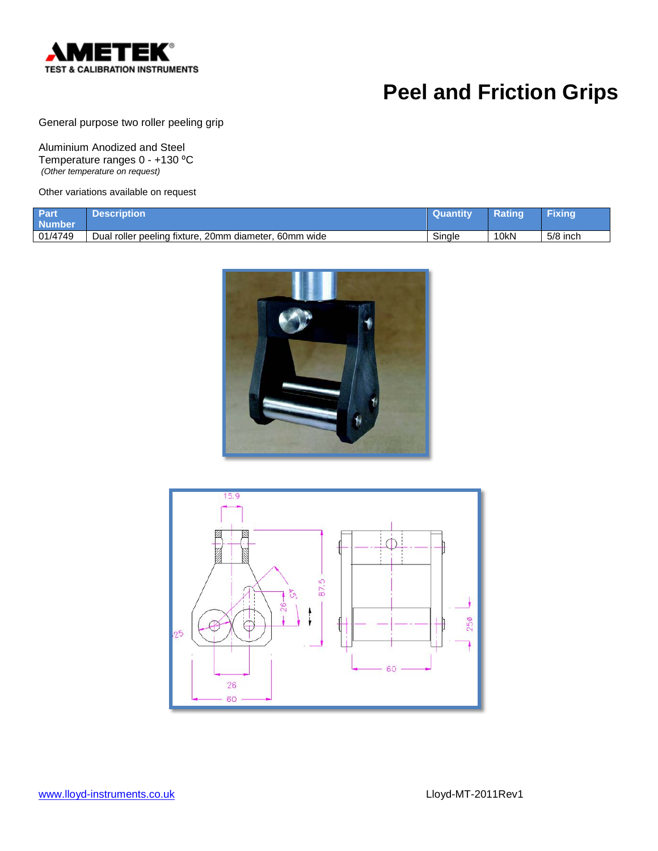

General purpose two roller peeling grip

Aluminium Anodized and Steel Temperature ranges 0 - +130 °C *(Other temperature on request)*

| Part<br><b>Number</b> | Description                                           | <b>Quantity</b> | Rating | Fixing     |
|-----------------------|-------------------------------------------------------|-----------------|--------|------------|
| 01/4749               | Dual roller peeling fixture, 20mm diameter, 60mm wide | Single          | 10kN   | $5/8$ inch |